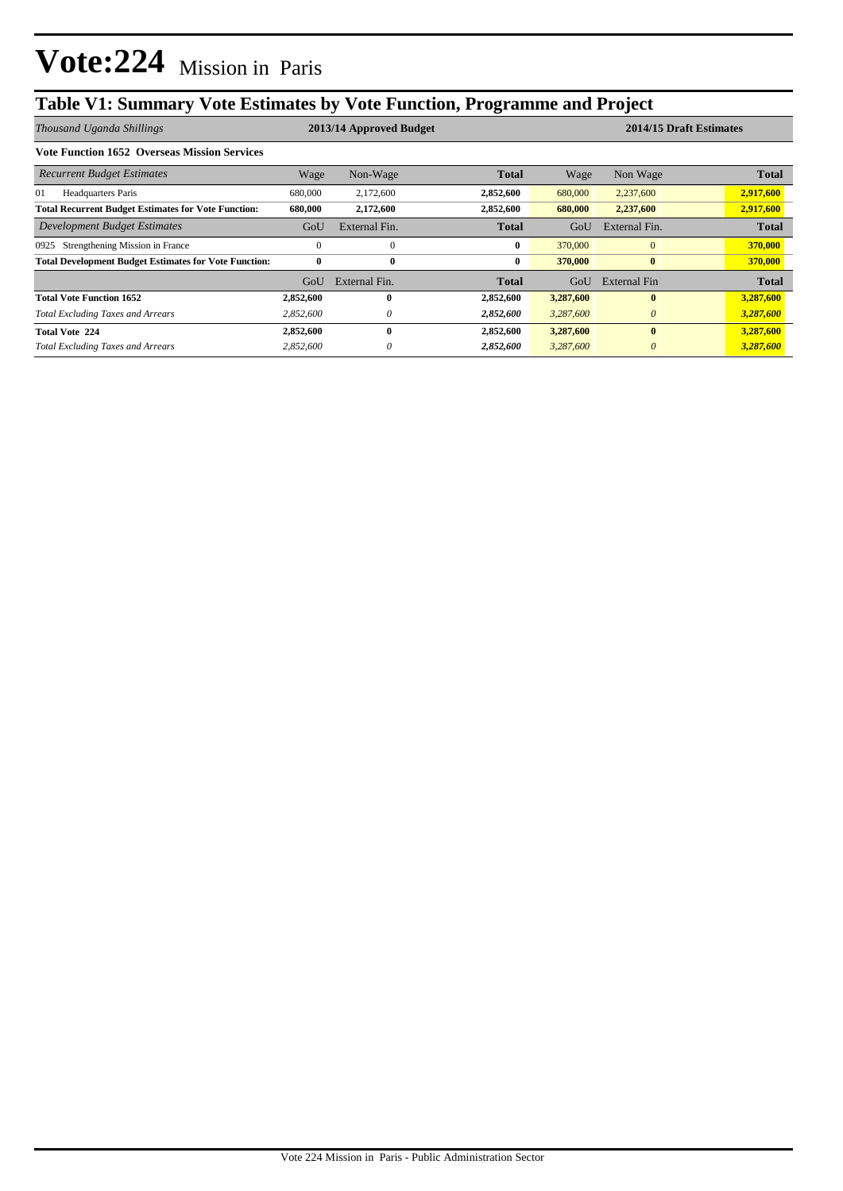## **Table V1: Summary Vote Estimates by Vote Function, Programme and Project**

| Thousand Uganda Shillings                                    | 2013/14 Approved Budget |               |              |           | 2014/15 Draft Estimates |              |  |
|--------------------------------------------------------------|-------------------------|---------------|--------------|-----------|-------------------------|--------------|--|
| <b>Vote Function 1652 Overseas Mission Services</b>          |                         |               |              |           |                         |              |  |
| <b>Recurrent Budget Estimates</b>                            | Wage                    | Non-Wage      | <b>Total</b> | Wage      | Non Wage                | <b>Total</b> |  |
| 01<br><b>Headquarters Paris</b>                              | 680,000                 | 2,172,600     | 2,852,600    | 680,000   | 2,237,600               | 2,917,600    |  |
| <b>Total Recurrent Budget Estimates for Vote Function:</b>   | 680,000                 | 2,172,600     | 2,852,600    | 680,000   | 2,237,600               | 2,917,600    |  |
| Development Budget Estimates                                 | GoU                     | External Fin. | <b>Total</b> | GoU       | External Fin.           | <b>Total</b> |  |
| Strengthening Mission in France<br>0925                      | $\Omega$                | $\Omega$      | $\mathbf{0}$ | 370,000   | $\Omega$                | 370,000      |  |
| <b>Total Development Budget Estimates for Vote Function:</b> | 0                       | $\bf{0}$      | $\bf{0}$     | 370,000   | $\bf{0}$                | 370,000      |  |
|                                                              | GoU                     | External Fin. | Total        | GoU       | External Fin            | <b>Total</b> |  |
| <b>Total Vote Function 1652</b>                              | 2,852,600               | 0             | 2,852,600    | 3,287,600 | $\mathbf{0}$            | 3,287,600    |  |
| <b>Total Excluding Taxes and Arrears</b>                     | 2,852,600               | 0             | 2,852,600    | 3,287,600 | $\theta$                | 3,287,600    |  |
| <b>Total Vote 224</b>                                        | 2,852,600               | 0             | 2,852,600    | 3,287,600 | $\mathbf{0}$            | 3,287,600    |  |
| <b>Total Excluding Taxes and Arrears</b>                     | 2,852,600               | 0             | 2,852,600    | 3,287,600 | $\theta$                | 3,287,600    |  |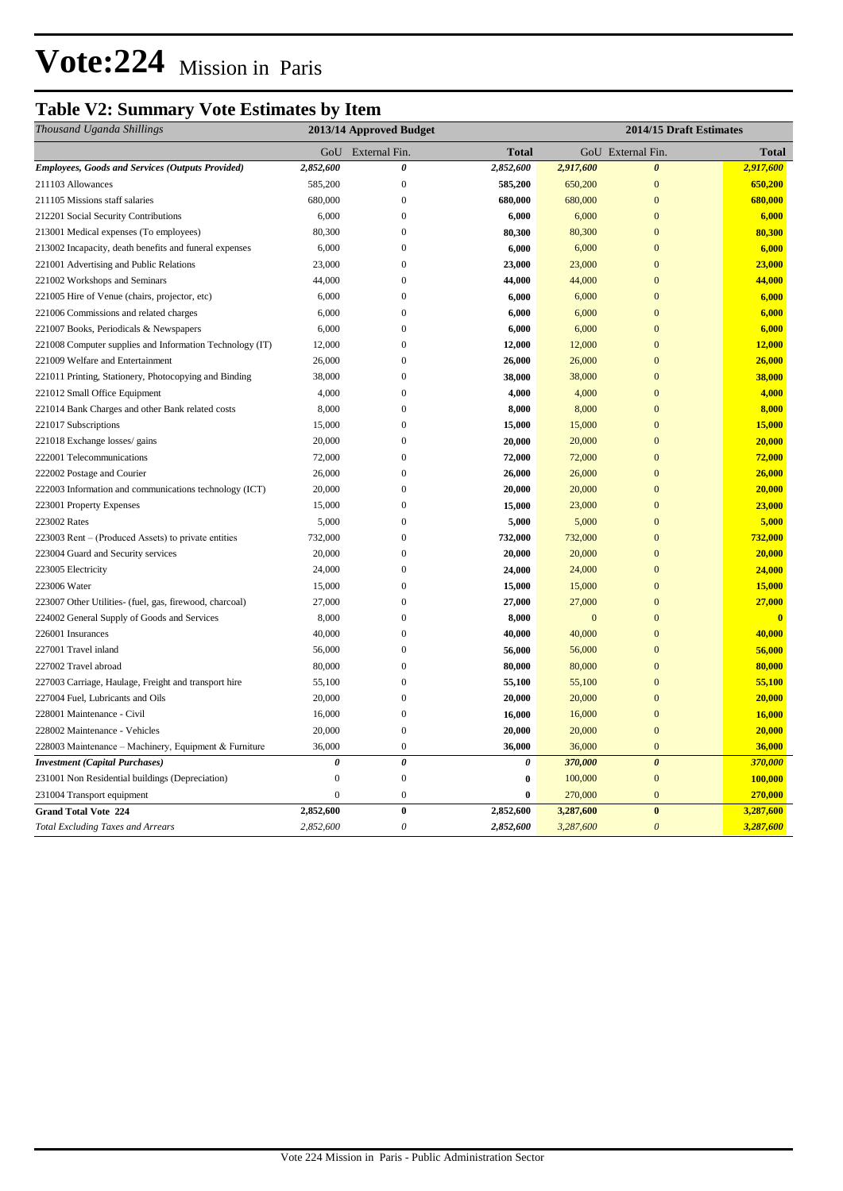# **Vote:224** Mission in Paris

## **Table V2: Summary Vote Estimates by Item**

| Thousand Uganda Shillings                                | 2013/14 Approved Budget |                       |              | 2014/15 Draft Estimates |                       |              |
|----------------------------------------------------------|-------------------------|-----------------------|--------------|-------------------------|-----------------------|--------------|
|                                                          | GoU                     | External Fin.         | <b>Total</b> |                         | GoU External Fin.     | Total        |
| <b>Employees, Goods and Services (Outputs Provided)</b>  | 2,852,600               | $\boldsymbol{\theta}$ | 2,852,600    | 2,917,600               | $\boldsymbol{\theta}$ | 2,917,600    |
| 211103 Allowances                                        | 585,200                 | $\boldsymbol{0}$      | 585,200      | 650,200                 | $\mathbf{0}$          | 650,200      |
| 211105 Missions staff salaries                           | 680,000                 | $\overline{0}$        | 680,000      | 680,000                 | $\mathbf{0}$          | 680,000      |
| 212201 Social Security Contributions                     | 6,000                   | $\boldsymbol{0}$      | 6,000        | 6,000                   | $\mathbf{0}$          | 6,000        |
| 213001 Medical expenses (To employees)                   | 80,300                  | $\overline{0}$        | 80,300       | 80,300                  | $\overline{0}$        | 80,300       |
| 213002 Incapacity, death benefits and funeral expenses   | 6,000                   | $\theta$              | 6,000        | 6,000                   | $\theta$              | 6,000        |
| 221001 Advertising and Public Relations                  | 23,000                  | $\overline{0}$        | 23,000       | 23,000                  | $\mathbf{0}$          | 23,000       |
| 221002 Workshops and Seminars                            | 44,000                  | $\boldsymbol{0}$      | 44,000       | 44,000                  | $\mathbf{0}$          | 44,000       |
| 221005 Hire of Venue (chairs, projector, etc)            | 6,000                   | $\overline{0}$        | 6,000        | 6,000                   | $\overline{0}$        | 6,000        |
| 221006 Commissions and related charges                   | 6,000                   | $\boldsymbol{0}$      | 6,000        | 6,000                   | $\mathbf{0}$          | 6,000        |
| 221007 Books, Periodicals & Newspapers                   | 6,000                   | $\overline{0}$        | 6,000        | 6,000                   | $\overline{0}$        | 6,000        |
| 221008 Computer supplies and Information Technology (IT) | 12,000                  | $\boldsymbol{0}$      | 12,000       | 12,000                  | $\mathbf{0}$          | 12,000       |
| 221009 Welfare and Entertainment                         | 26,000                  | $\boldsymbol{0}$      | 26,000       | 26,000                  | $\mathbf{0}$          | 26,000       |
| 221011 Printing, Stationery, Photocopying and Binding    | 38,000                  | $\overline{0}$        | 38,000       | 38,000                  | $\overline{0}$        | 38,000       |
| 221012 Small Office Equipment                            | 4,000                   | $\overline{0}$        | 4,000        | 4,000                   | $\overline{0}$        | 4,000        |
| 221014 Bank Charges and other Bank related costs         | 8,000                   | $\mathbf{0}$          | 8,000        | 8,000                   | $\overline{0}$        | 8,000        |
| 221017 Subscriptions                                     | 15,000                  | $\overline{0}$        | 15,000       | 15,000                  | $\overline{0}$        | 15,000       |
| 221018 Exchange losses/ gains                            | 20,000                  | $\mathbf{0}$          | 20,000       | 20,000                  | $\overline{0}$        | 20,000       |
| 222001 Telecommunications                                | 72,000                  | $\boldsymbol{0}$      | 72,000       | 72,000                  | $\mathbf{0}$          | 72,000       |
| 222002 Postage and Courier                               | 26,000                  | $\overline{0}$        | 26,000       | 26,000                  | $\overline{0}$        | 26,000       |
| 222003 Information and communications technology (ICT)   | 20,000                  | $\mathbf{0}$          | 20,000       | 20,000                  | $\overline{0}$        | 20,000       |
| 223001 Property Expenses                                 | 15,000                  | $\overline{0}$        | 15,000       | 23,000                  | $\overline{0}$        | 23,000       |
| 223002 Rates                                             | 5,000                   | $\boldsymbol{0}$      | 5,000        | 5,000                   | $\overline{0}$        | 5,000        |
| 223003 Rent – (Produced Assets) to private entities      | 732,000                 | $\mathbf{0}$          | 732,000      | 732,000                 | $\overline{0}$        | 732,000      |
| 223004 Guard and Security services                       | 20,000                  | $\boldsymbol{0}$      | 20,000       | 20,000                  | $\mathbf{0}$          | 20,000       |
| 223005 Electricity                                       | 24,000                  | $\overline{0}$        | 24,000       | 24,000                  | $\overline{0}$        | 24,000       |
| 223006 Water                                             | 15,000                  | $\mathbf{0}$          | 15,000       | 15,000                  | $\mathbf{0}$          | 15,000       |
| 223007 Other Utilities- (fuel, gas, firewood, charcoal)  | 27,000                  | $\mathbf{0}$          | 27,000       | 27,000                  | $\overline{0}$        | 27,000       |
| 224002 General Supply of Goods and Services              | 8,000                   | $\boldsymbol{0}$      | 8,000        | $\mathbf{0}$            | $\mathbf{0}$          | $\mathbf{0}$ |
| 226001 Insurances                                        | 40,000                  | $\mathbf{0}$          | 40,000       | 40,000                  | $\mathbf{0}$          | 40,000       |
| 227001 Travel inland                                     | 56,000                  | $\overline{0}$        | 56,000       | 56,000                  | $\mathbf{0}$          | 56,000       |
| 227002 Travel abroad                                     | 80,000                  | $\boldsymbol{0}$      | 80,000       | 80,000                  | $\mathbf{0}$          | 80,000       |
| 227003 Carriage, Haulage, Freight and transport hire     | 55,100                  | $\boldsymbol{0}$      | 55,100       | 55,100                  | $\overline{0}$        | 55,100       |
| 227004 Fuel, Lubricants and Oils                         | 20,000                  | $\mathbf{0}$          | 20,000       | 20,000                  | $\overline{0}$        | 20,000       |
| 228001 Maintenance - Civil                               | 16,000                  | $\boldsymbol{0}$      | 16,000       | 16,000                  | $\mathbf{0}$          | 16,000       |
| 228002 Maintenance - Vehicles                            | 20,000                  | $\boldsymbol{0}$      | 20,000       | 20,000                  | $\overline{0}$        | 20,000       |
| 228003 Maintenance - Machinery, Equipment & Furniture    | 36,000                  | $\boldsymbol{0}$      | 36,000       | 36,000                  | $\mathbf{0}$          | 36,000       |
| <b>Investment (Capital Purchases)</b>                    | $\boldsymbol{\theta}$   | $\boldsymbol{\theta}$ | $\theta$     | 370,000                 | $\boldsymbol{\theta}$ | 370,000      |
| 231001 Non Residential buildings (Depreciation)          | $\boldsymbol{0}$        | $\boldsymbol{0}$      | $\bf{0}$     | 100,000                 | $\mathbf{0}$          | 100,000      |
| 231004 Transport equipment                               | $\overline{0}$          | $\boldsymbol{0}$      | $\bf{0}$     | 270,000                 | $\mathbf{0}$          | 270,000      |
| <b>Grand Total Vote 224</b>                              | 2,852,600               | $\boldsymbol{0}$      | 2,852,600    | 3,287,600               | $\bf{0}$              | 3,287,600    |
| <b>Total Excluding Taxes and Arrears</b>                 | 2,852,600               | $\boldsymbol{\theta}$ | 2,852,600    | 3,287,600               | $\boldsymbol{\theta}$ | 3,287,600    |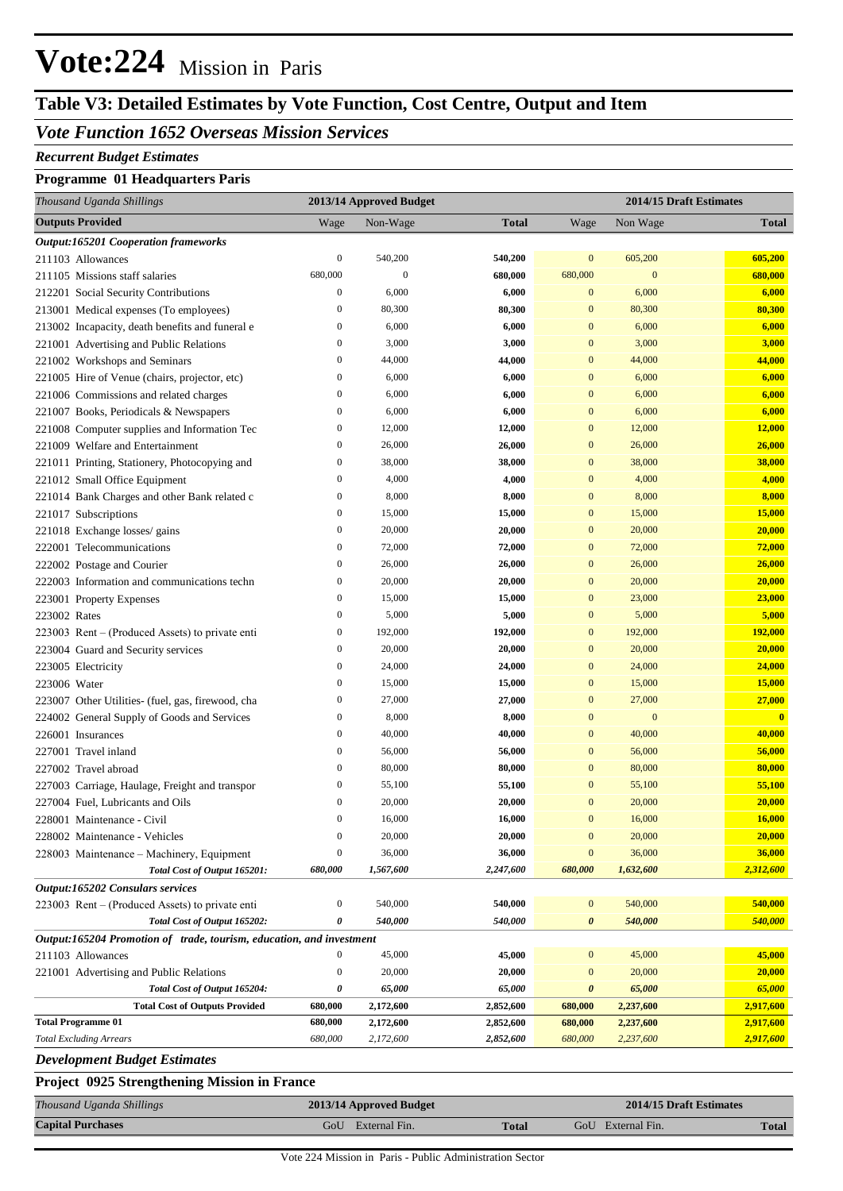# **Vote:224** Mission in Paris

## **Table V3: Detailed Estimates by Vote Function, Cost Centre, Output and Item**

### *Vote Function 1652 Overseas Mission Services*

#### *Recurrent Budget Estimates*

#### **Programme 01 Headquarters Paris**

| Thousand Uganda Shillings                                            | 2013/14 Approved Budget |              |              | 2014/15 Draft Estimates |                  |              |
|----------------------------------------------------------------------|-------------------------|--------------|--------------|-------------------------|------------------|--------------|
| <b>Outputs Provided</b>                                              | Wage                    | Non-Wage     | <b>Total</b> | Wage                    | Non Wage         | <b>Total</b> |
| <b>Output:165201 Cooperation frameworks</b>                          |                         |              |              |                         |                  |              |
| 211103 Allowances                                                    | $\boldsymbol{0}$        | 540,200      | 540,200      | $\bf{0}$                | 605,200          | 605,200      |
| 211105 Missions staff salaries                                       | 680,000                 | $\mathbf{0}$ | 680,000      | 680,000                 | $\boldsymbol{0}$ | 680,000      |
| 212201 Social Security Contributions                                 | $\boldsymbol{0}$        | 6,000        | 6,000        | $\mathbf{0}$            | 6,000            | 6,000        |
| 213001 Medical expenses (To employees)                               | $\boldsymbol{0}$        | 80,300       | 80,300       | $\mathbf{0}$            | 80,300           | 80,300       |
| 213002 Incapacity, death benefits and funeral e                      | $\boldsymbol{0}$        | 6,000        | 6,000        | $\mathbf{0}$            | 6,000            | 6,000        |
| 221001 Advertising and Public Relations                              | $\boldsymbol{0}$        | 3,000        | 3,000        | $\mathbf{0}$            | 3,000            | 3,000        |
| 221002 Workshops and Seminars                                        | $\boldsymbol{0}$        | 44,000       | 44,000       | $\mathbf{0}$            | 44,000           | 44,000       |
| 221005 Hire of Venue (chairs, projector, etc)                        | $\boldsymbol{0}$        | 6,000        | 6,000        | $\mathbf{0}$            | 6,000            | 6,000        |
| 221006 Commissions and related charges                               | $\boldsymbol{0}$        | 6,000        | 6,000        | $\mathbf{0}$            | 6,000            | 6,000        |
| 221007 Books, Periodicals & Newspapers                               | $\boldsymbol{0}$        | 6,000        | 6,000        | $\mathbf{0}$            | 6,000            | 6,000        |
| 221008 Computer supplies and Information Tec                         | $\boldsymbol{0}$        | 12,000       | 12,000       | $\mathbf{0}$            | 12,000           | 12,000       |
| 221009 Welfare and Entertainment                                     | $\boldsymbol{0}$        | 26,000       | 26,000       | $\mathbf{0}$            | 26,000           | 26,000       |
| 221011 Printing, Stationery, Photocopying and                        | $\boldsymbol{0}$        | 38,000       | 38,000       | $\mathbf{0}$            | 38,000           | 38,000       |
| 221012 Small Office Equipment                                        | $\boldsymbol{0}$        | 4,000        | 4,000        | $\mathbf{0}$            | 4,000            | 4,000        |
| 221014 Bank Charges and other Bank related c                         | $\boldsymbol{0}$        | 8,000        | 8,000        | $\mathbf{0}$            | 8,000            | 8,000        |
| 221017 Subscriptions                                                 | $\boldsymbol{0}$        | 15,000       | 15,000       | $\mathbf{0}$            | 15,000           | 15,000       |
| 221018 Exchange losses/ gains                                        | $\boldsymbol{0}$        | 20,000       | 20,000       | $\mathbf{0}$            | 20,000           | 20,000       |
| 222001 Telecommunications                                            | $\boldsymbol{0}$        | 72,000       | 72,000       | $\mathbf{0}$            | 72,000           | 72,000       |
| 222002 Postage and Courier                                           | $\boldsymbol{0}$        | 26,000       | 26,000       | $\mathbf{0}$            | 26,000           | 26,000       |
| 222003 Information and communications techn                          | $\boldsymbol{0}$        | 20,000       | 20,000       | $\mathbf{0}$            | 20,000           | 20,000       |
| 223001 Property Expenses                                             | $\boldsymbol{0}$        | 15,000       | 15,000       | $\mathbf{0}$            | 23,000           | 23,000       |
| 223002 Rates                                                         | $\boldsymbol{0}$        | 5,000        | 5,000        | $\mathbf{0}$            | 5,000            | 5,000        |
| 223003 Rent – (Produced Assets) to private enti                      | $\boldsymbol{0}$        | 192,000      | 192,000      | $\mathbf{0}$            | 192,000          | 192,000      |
| 223004 Guard and Security services                                   | $\boldsymbol{0}$        | 20,000       | 20,000       | $\mathbf{0}$            | 20,000           | 20,000       |
| 223005 Electricity                                                   | $\boldsymbol{0}$        | 24,000       | 24,000       | $\mathbf{0}$            | 24,000           | 24,000       |
| 223006 Water                                                         | $\boldsymbol{0}$        | 15,000       | 15,000       | $\mathbf{0}$            | 15,000           | 15,000       |
| 223007 Other Utilities- (fuel, gas, firewood, cha                    | $\boldsymbol{0}$        | 27,000       | 27,000       | $\mathbf{0}$            | 27,000           | 27,000       |
| 224002 General Supply of Goods and Services                          | $\boldsymbol{0}$        | 8,000        | 8,000        | $\mathbf{0}$            | $\bf{0}$         | $\bf{0}$     |
| 226001 Insurances                                                    | $\boldsymbol{0}$        | 40,000       | 40,000       | $\mathbf{0}$            | 40,000           | 40,000       |
| 227001 Travel inland                                                 | $\boldsymbol{0}$        | 56,000       | 56,000       | $\mathbf{0}$            | 56,000           | 56,000       |
| 227002 Travel abroad                                                 | $\boldsymbol{0}$        | 80,000       | 80,000       | $\mathbf{0}$            | 80,000           | 80,000       |
| 227003 Carriage, Haulage, Freight and transpor                       | $\boldsymbol{0}$        | 55,100       | 55,100       | $\mathbf{0}$            | 55,100           | 55,100       |
| 227004 Fuel, Lubricants and Oils                                     | $\boldsymbol{0}$        | 20,000       | 20,000       | $\mathbf{0}$            | 20,000           | 20,000       |
| 228001 Maintenance - Civil                                           | $\mathbf{0}$            | 16,000       | 16,000       | $\Omega$                | 16,000           | 16,000       |
| 228002 Maintenance - Vehicles                                        | $\boldsymbol{0}$        | 20,000       | 20,000       | $\mathbf{0}$            | 20,000           | 20,000       |
| 228003 Maintenance – Machinery, Equipment                            | $\boldsymbol{0}$        | 36,000       | 36,000       | $\mathbf{0}$            | 36,000           | 36,000       |
| Total Cost of Output 165201:                                         | 680,000                 | 1,567,600    | 2,247,600    | 680,000                 | 1,632,600        | 2,312,600    |
| Output:165202 Consulars services                                     |                         |              |              |                         |                  |              |
| 223003 Rent – (Produced Assets) to private enti                      | $\boldsymbol{0}$        | 540,000      | 540,000      | $\bf{0}$                | 540,000          | 540,000      |
| Total Cost of Output 165202:                                         | 0                       | 540,000      | 540,000      | 0                       | 540,000          | 540,000      |
| Output:165204 Promotion of trade, tourism, education, and investment |                         |              |              |                         |                  |              |
| 211103 Allowances                                                    | $\boldsymbol{0}$        | 45,000       | 45,000       | $\mathbf{0}$            | 45,000           | 45,000       |
| 221001 Advertising and Public Relations                              | $\boldsymbol{0}$        | 20,000       | 20,000       | $\mathbf{0}$            | 20,000           | 20,000       |
| Total Cost of Output 165204:                                         | 0                       | 65,000       | 65,000       | $\boldsymbol{\theta}$   | 65,000           | 65,000       |
| <b>Total Cost of Outputs Provided</b>                                | 680,000                 | 2,172,600    | 2,852,600    | 680,000                 | 2,237,600        | 2,917,600    |
| <b>Total Programme 01</b>                                            | 680,000                 | 2,172,600    | 2,852,600    | 680,000                 | 2,237,600        | 2,917,600    |
| <b>Total Excluding Arrears</b>                                       | 680,000                 | 2,172,600    | 2,852,600    | 680,000                 | 2,237,600        | 2,917,600    |
| <b>Development Budget Estimates</b>                                  |                         |              |              |                         |                  |              |
| Project 0925 Strengthening Mission in France                         |                         |              |              |                         |                  |              |

| Thousand Uganda Shillings | 2013/14 Approved Budget |              | 2014/15 Draft Estimates |              |  |
|---------------------------|-------------------------|--------------|-------------------------|--------------|--|
| <b>Capital Purchases</b>  | GoU<br>External Fin.    | <b>Total</b> | GoU External Fin.       | <b>Total</b> |  |